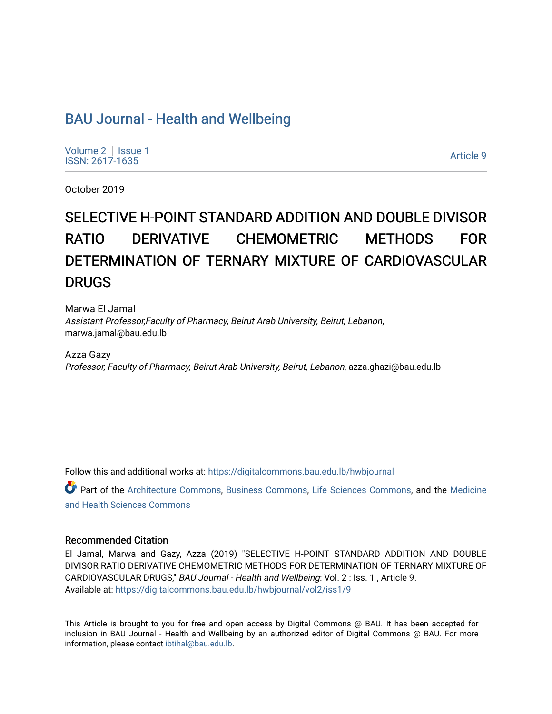# [BAU Journal - Health and Wellbeing](https://digitalcommons.bau.edu.lb/hwbjournal)

[Volume 2](https://digitalcommons.bau.edu.lb/hwbjournal/vol2) | Issue 1 Political Pressure Pressure Pressure Pressure Pressure Pressure Pressure Pressure Pressure Pressure Pressure P<br>ISSN: 2617-1635

October 2019

# SELECTIVE H-POINT STANDARD ADDITION AND DOUBLE DIVISOR RATIO DERIVATIVE CHEMOMETRIC METHODS FOR DETERMINATION OF TERNARY MIXTURE OF CARDIOVASCULAR DRUGS

Marwa El Jamal Assistant Professor,Faculty of Pharmacy, Beirut Arab University, Beirut, Lebanon, marwa.jamal@bau.edu.lb

Azza Gazy Professor, Faculty of Pharmacy, Beirut Arab University, Beirut, Lebanon, azza.ghazi@bau.edu.lb

Follow this and additional works at: [https://digitalcommons.bau.edu.lb/hwbjournal](https://digitalcommons.bau.edu.lb/hwbjournal?utm_source=digitalcommons.bau.edu.lb%2Fhwbjournal%2Fvol2%2Fiss1%2F9&utm_medium=PDF&utm_campaign=PDFCoverPages)

Part of the [Architecture Commons](http://network.bepress.com/hgg/discipline/773?utm_source=digitalcommons.bau.edu.lb%2Fhwbjournal%2Fvol2%2Fiss1%2F9&utm_medium=PDF&utm_campaign=PDFCoverPages), [Business Commons,](http://network.bepress.com/hgg/discipline/622?utm_source=digitalcommons.bau.edu.lb%2Fhwbjournal%2Fvol2%2Fiss1%2F9&utm_medium=PDF&utm_campaign=PDFCoverPages) [Life Sciences Commons](http://network.bepress.com/hgg/discipline/1016?utm_source=digitalcommons.bau.edu.lb%2Fhwbjournal%2Fvol2%2Fiss1%2F9&utm_medium=PDF&utm_campaign=PDFCoverPages), and the [Medicine](http://network.bepress.com/hgg/discipline/648?utm_source=digitalcommons.bau.edu.lb%2Fhwbjournal%2Fvol2%2Fiss1%2F9&utm_medium=PDF&utm_campaign=PDFCoverPages)  [and Health Sciences Commons](http://network.bepress.com/hgg/discipline/648?utm_source=digitalcommons.bau.edu.lb%2Fhwbjournal%2Fvol2%2Fiss1%2F9&utm_medium=PDF&utm_campaign=PDFCoverPages)

#### Recommended Citation

El Jamal, Marwa and Gazy, Azza (2019) "SELECTIVE H-POINT STANDARD ADDITION AND DOUBLE DIVISOR RATIO DERIVATIVE CHEMOMETRIC METHODS FOR DETERMINATION OF TERNARY MIXTURE OF CARDIOVASCULAR DRUGS," BAU Journal - Health and Wellbeing: Vol. 2 : Iss. 1 , Article 9. Available at: [https://digitalcommons.bau.edu.lb/hwbjournal/vol2/iss1/9](https://digitalcommons.bau.edu.lb/hwbjournal/vol2/iss1/9?utm_source=digitalcommons.bau.edu.lb%2Fhwbjournal%2Fvol2%2Fiss1%2F9&utm_medium=PDF&utm_campaign=PDFCoverPages) 

This Article is brought to you for free and open access by Digital Commons @ BAU. It has been accepted for inclusion in BAU Journal - Health and Wellbeing by an authorized editor of Digital Commons @ BAU. For more information, please contact [ibtihal@bau.edu.lb.](mailto:ibtihal@bau.edu.lb)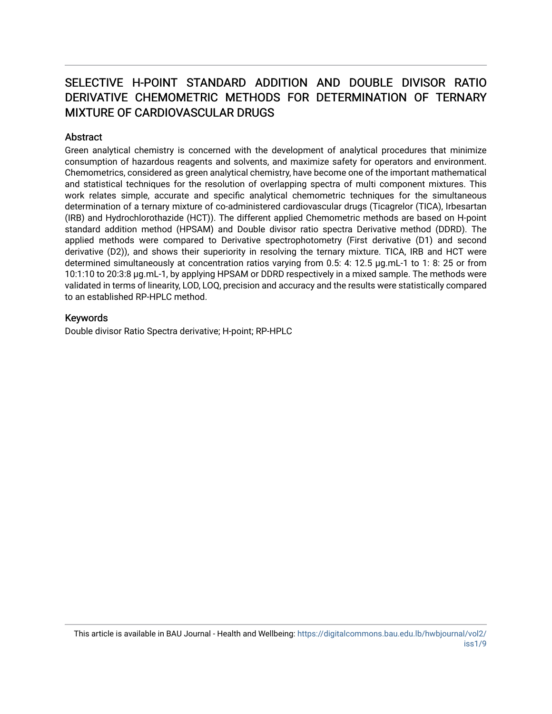# SELECTIVE H-POINT STANDARD ADDITION AND DOUBLE DIVISOR RATIO DERIVATIVE CHEMOMETRIC METHODS FOR DETERMINATION OF TERNARY MIXTURE OF CARDIOVASCULAR DRUGS

#### **Abstract**

Green analytical chemistry is concerned with the development of analytical procedures that minimize consumption of hazardous reagents and solvents, and maximize safety for operators and environment. Chemometrics, considered as green analytical chemistry, have become one of the important mathematical and statistical techniques for the resolution of overlapping spectra of multi component mixtures. This work relates simple, accurate and specific analytical chemometric techniques for the simultaneous determination of a ternary mixture of co-administered cardiovascular drugs (Ticagrelor (TICA), Irbesartan (IRB) and Hydrochlorothazide (HCT)). The different applied Chemometric methods are based on H-point standard addition method (HPSAM) and Double divisor ratio spectra Derivative method (DDRD). The applied methods were compared to Derivative spectrophotometry (First derivative (D1) and second derivative (D2)), and shows their superiority in resolving the ternary mixture. TICA, IRB and HCT were determined simultaneously at concentration ratios varying from 0.5: 4: 12.5 µg.mL-1 to 1: 8: 25 or from 10:1:10 to 20:3:8 µg.mL-1, by applying HPSAM or DDRD respectively in a mixed sample. The methods were validated in terms of linearity, LOD, LOQ, precision and accuracy and the results were statistically compared to an established RP-HPLC method.

#### Keywords

Double divisor Ratio Spectra derivative; H-point; RP-HPLC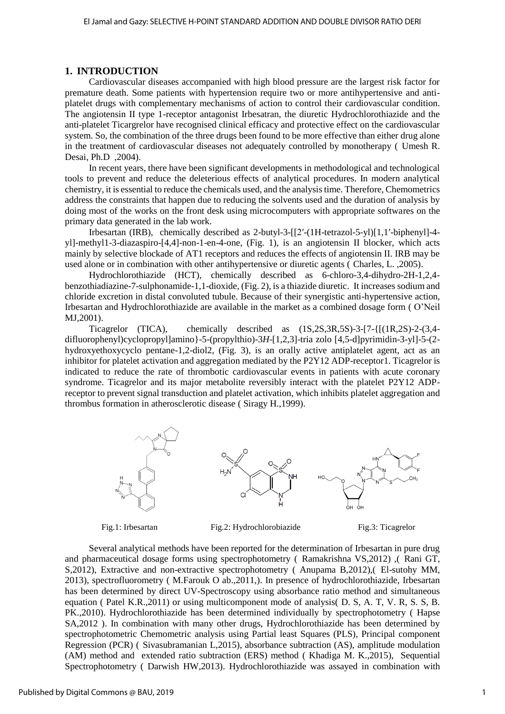#### **1. INTRODUCTION**

Cardiovascular diseases accompanied with high blood pressure are the largest risk factor for premature death. Some patients with hypertension require two or more antihypertensive and antiplatelet drugs with complementary mechanisms of action to control their cardiovascular condition. The angiotensin II type 1-receptor antagonist Irbesatran, the diuretic Hydrochlorothiazide and the anti-platelet Ticargrelor have recognised clinical efficacy and protective effect on the cardiovascular system. So, the combination of the three drugs been found to be more effective than either drug alone in the treatment of cardiovascular diseases not adequately controlled by monotherapy ( Umesh R. Desai, Ph.D ,2004).

In recent years, there have been significant developments in methodological and technological tools to prevent and reduce the deleterious effects of analytical procedures. In modern analytical chemistry, it is essential to reduce the chemicals used, and the analysis time. Therefore, Chemometrics address the constraints that happen due to reducing the solvents used and the duration of analysis by doing most of the works on the front desk using microcomputers with appropriate softwares on the primary data generated in the lab work.

Irbesartan (IRB), chemically described as 2-butyl-3-[[2′-(1H-tetrazol-5-yl)[1,1′-biphenyl]-4 yl]-methyl1-3-diazaspiro-[4,4]-non-1-en-4-one, (Fig. 1), is an angiotensin II blocker, which acts mainly by selective blockade of AT1 receptors and reduces the effects of angiotensin II. IRB may be used alone or in combination with other antihypertensive or diuretic agents ( Charles, L. ,2005).

Hydrochlorothiazide (HCT), chemically described as 6-chloro-3,4-dihydro-2H-1,2,4 benzothiadiazine-7-sulphonamide-1,1-dioxide, (Fig. 2), is a thiazide diuretic. It increases sodium and chloride excretion in distal convoluted tubule. Because of their synergistic anti-hypertensive action, Irbesartan and Hydrochlorothiazide are available in the market as a combined dosage form ( O'Neil MJ,2001).

Ticagrelor (TICA), chemically described as (1S,2S,3R,5S)-3-[7-{[(1R,2S)-2-(3,4 difluorophenyl)cyclopropyl]amino}-5-(propylthio)-3*H*-[1,2,3]-tria zolo [4,5-d]pyrimidin-3-yl]-5-(2 hydroxyethoxycyclo pentane-1,2-diol2, (Fig. 3), is an orally active antiplatelet agent, act as an inhibitor for platelet activation and aggregation mediated by the P2Y12 ADP-receptor1. Ticagrelor is indicated to reduce the rate of thrombotic cardiovascular events in patients with acute coronary syndrome. Ticagrelor and its major metabolite reversibly interact with the platelet P2Y12 ADPreceptor to prevent signal transduction and platelet activation, which inhibits platelet aggregation and thrombus formation in atherosclerotic disease ( Siragy H.,1999).



Fig.1: Irbesartan Fig.2: Hydrochlorobiazide Fig.3: Ticagrelor

Several analytical methods have been reported for the determination of Irbesartan in pure drug and pharmaceutical dosage forms using spectrophotometry ( Ramakrishna VS,2012) ,( Rani GT, S,2012), Extractive and non-extractive spectrophotometry ( Anupama B,2012),( El-sutohy MM, 2013), spectrofluorometry ( M.Farouk O ab.,2011,). In presence of hydrochlorothiazide, Irbesartan has been determined by direct UV-Spectroscopy using absorbance ratio method and simultaneous equation ( Patel K.R.,2011) or using multicomponent mode of analysis( D. S, A. T, V. R, S. S, B. PK.,2010). Hydrochlorothiazide has been determined individually by spectrophotometry ( Hapse SA,2012 ). In combination with many other drugs, Hydrochlorothiazide has been determined by spectrophotometric Chemometric analysis using Partial least Squares (PLS), Principal component Regression (PCR) ( Sivasubramanian L,2015), absorbance subtraction (AS), amplitude modulation (AM) method and extended ratio subtraction (ERS) method ( Khadiga M. K.,2015), Sequential Spectrophotometry ( Darwish HW,2013). Hydrochlorothiazide was assayed in combination with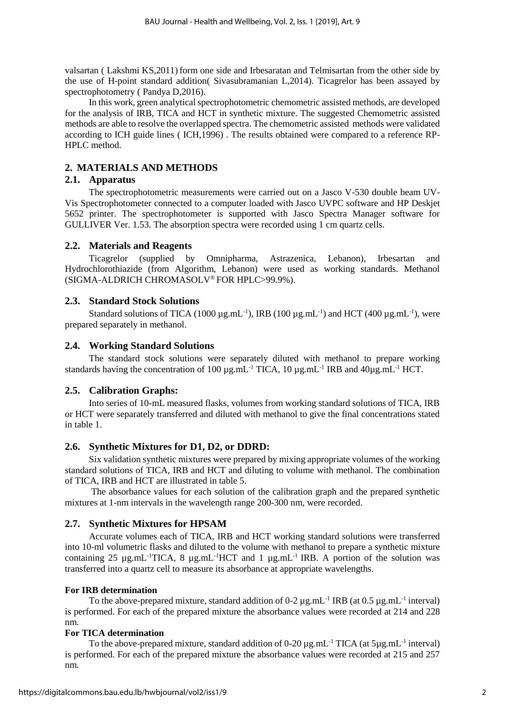valsartan ( Lakshmi KS,2011) form one side and Irbesaratan and Telmisartan from the other side by the use of H-point standard addition( Sivasubramanian L,2014). Ticagrelor has been assayed by spectrophotometry ( Pandya D,2016).

In this work, green analytical spectrophotometric chemometric assisted methods, are developed for the analysis of IRB, TICA and HCT in synthetic mixture. The suggested Chemometric assisted methods are able to resolve the overlapped spectra. The chemometric assisted methods were validated according to ICH guide lines ( ICH,1996) . The results obtained were compared to a reference RP-HPLC method.

# **2. MATERIALS AND METHODS**

# **2.1. Apparatus**

The spectrophotometric measurements were carried out on a Jasco V-530 double beam UV-Vis Spectrophotometer connected to a computer loaded with Jasco UVPC software and HP Deskjet 5652 printer. The spectrophotometer is supported with Jasco Spectra Manager software for GULLIVER Ver. 1.53. The absorption spectra were recorded using 1 cm quartz cells.

#### **2.2. Materials and Reagents**

Ticagrelor (supplied by Omnipharma, Astrazenica, Lebanon), Irbesartan and Hydrochlorothiazide (from Algorithm, Lebanon) were used as working standards. Methanol (SIGMA-ALDRICH CHROMASOLV® FOR HPLC>99.9%).

# **2.3. Standard Stock Solutions**

Standard solutions of TICA (1000  $\mu$ g.mL<sup>-1</sup>), IRB (100  $\mu$ g.mL<sup>-1</sup>) and HCT (400  $\mu$ g.mL<sup>-1</sup>), were prepared separately in methanol.

# **2.4. Working Standard Solutions**

The standard stock solutions were separately diluted with methanol to prepare working standards having the concentration of 100  $\mu$ g.mL<sup>-1</sup> TICA, 10  $\mu$ g.mL<sup>-1</sup> IRB and 40 $\mu$ g.mL<sup>-1</sup> HCT.

#### **2.5. Calibration Graphs:**

Into series of 10-mL measured flasks, volumes from working standard solutions of TICA, IRB or HCT were separately transferred and diluted with methanol to give the final concentrations stated in table 1.

#### **2.6. Synthetic Mixtures for D1, D2, or DDRD:**

Six validation synthetic mixtures were prepared by mixing appropriate volumes of the working standard solutions of TICA, IRB and HCT and diluting to volume with methanol. The combination of TICA, IRB and HCT are illustrated in table 5.

The absorbance values for each solution of the calibration graph and the prepared synthetic mixtures at 1-nm intervals in the wavelength range 200-300 nm, were recorded.

#### **2.7. Synthetic Mixtures for HPSAM**

Accurate volumes each of TICA, IRB and HCT working standard solutions were transferred into 10-ml volumetric flasks and diluted to the volume with methanol to prepare a synthetic mixture containing 25  $\mu$ g.mL<sup>-1</sup>TICA, 8  $\mu$ g.mL<sup>-1</sup>HCT and 1  $\mu$ g.mL<sup>-1</sup> IRB. A portion of the solution was transferred into a quartz cell to measure its absorbance at appropriate wavelengths.

#### **For IRB determination**

To the above-prepared mixture, standard addition of 0-2  $\mu$ g.mL<sup>-1</sup> IRB (at 0.5  $\mu$ g.mL<sup>-1</sup> interval) is performed. For each of the prepared mixture the absorbance values were recorded at 214 and 228 nm.

#### **For TICA determination**

To the above-prepared mixture, standard addition of  $0-20 \mu$ g.mL<sup>-1</sup> TICA (at  $5\mu$ g.mL<sup>-1</sup> interval) is performed. For each of the prepared mixture the absorbance values were recorded at 215 and 257 nm.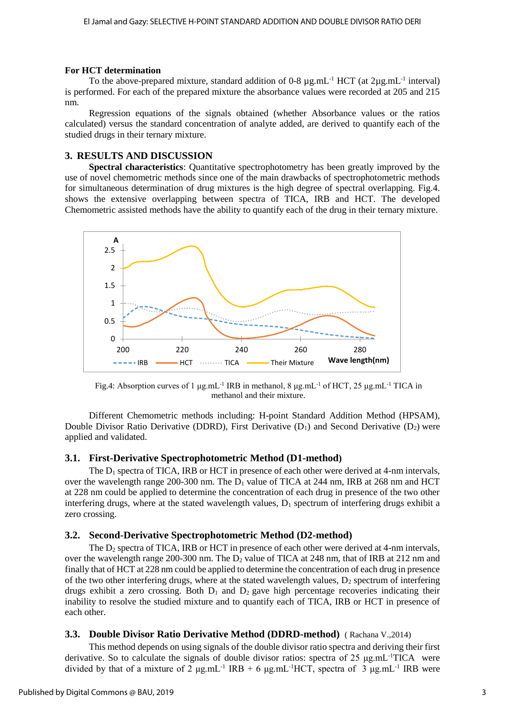#### **For HCT determination**

To the above-prepared mixture, standard addition of 0-8  $\mu$ g.mL<sup>-1</sup> HCT (at 2 $\mu$ g.mL<sup>-1</sup> interval) is performed. For each of the prepared mixture the absorbance values were recorded at 205 and 215 nm.

Regression equations of the signals obtained (whether Absorbance values or the ratios calculated) versus the standard concentration of analyte added, are derived to quantify each of the studied drugs in their ternary mixture.

# **3. RESULTS AND DISCUSSION**

**Spectral characteristics**: Quantitative spectrophotometry has been greatly improved by the use of novel chemometric methods since one of the main drawbacks of spectrophotometric methods for simultaneous determination of drug mixtures is the high degree of spectral overlapping. Fig.4. shows the extensive overlapping between spectra of TICA, IRB and HCT. The developed Chemometric assisted methods have the ability to quantify each of the drug in their ternary mixture.



Fig.4: Absorption curves of 1  $\mu$ g.mL<sup>-1</sup> IRB in methanol, 8  $\mu$ g.mL<sup>-1</sup> of HCT, 25  $\mu$ g.mL<sup>-1</sup> TICA in methanol and their mixture.

Different Chemometric methods including: H-point Standard Addition Method (HPSAM), Double Divisor Ratio Derivative (DDRD), First Derivative ( $D_1$ ) and Second Derivative ( $D_2$ ) were applied and validated.

#### **3.1. First-Derivative Spectrophotometric Method (D1-method)**

The  $D_1$  spectra of TICA, IRB or HCT in presence of each other were derived at 4-nm intervals, over the wavelength range 200-300 nm. The D<sub>1</sub> value of TICA at 244 nm, IRB at 268 nm and HCT at 228 nm could be applied to determine the concentration of each drug in presence of the two other interfering drugs, where at the stated wavelength values,  $D_1$  spectrum of interfering drugs exhibit a zero crossing.

#### **3.2. Second-Derivative Spectrophotometric Method (D2-method)**

The  $D_2$  spectra of TICA, IRB or HCT in presence of each other were derived at 4-nm intervals, over the wavelength range 200-300 nm. The  $D_2$  value of TICA at 248 nm, that of IRB at 212 nm and finally that of HCT at 228 nm could be applied to determine the concentration of each drug in presence of the two other interfering drugs, where at the stated wavelength values,  $D<sub>2</sub>$  spectrum of interfering drugs exhibit a zero crossing. Both  $D_1$  and  $D_2$  gave high percentage recoveries indicating their inability to resolve the studied mixture and to quantify each of TICA, IRB or HCT in presence of each other.

# **3.3. Double Divisor Ratio Derivative Method (DDRD-method)** ( Rachana V.,2014)

This method depends on using signals of the double divisor ratio spectra and deriving their first derivative. So to calculate the signals of double divisor ratios: spectra of 25 μg.mL<sup>-1</sup>TICA were divided by that of a mixture of 2  $\mu$ g.mL<sup>-1</sup> IRB + 6  $\mu$ g.mL<sup>-1</sup>HCT, spectra of 3  $\mu$ g.mL<sup>-1</sup> IRB were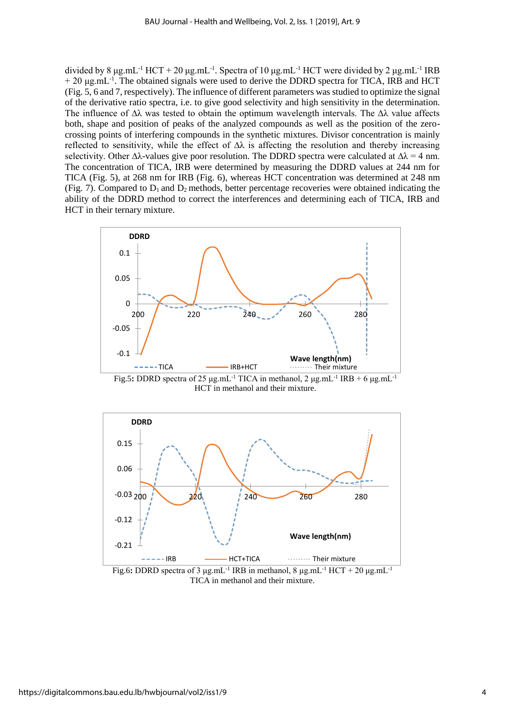divided by 8 μg.mL<sup>-1</sup> HCT + 20 μg.mL<sup>-1</sup>. Spectra of 10 μg.mL<sup>-1</sup> HCT were divided by 2 μg.mL<sup>-1</sup> IRB + 20 μg.mL<sup>-1</sup>. The obtained signals were used to derive the DDRD spectra for TICA, IRB and HCT (Fig. 5, 6 and 7, respectively). The influence of different parameters was studied to optimize the signal of the derivative ratio spectra, i.e. to give good selectivity and high sensitivity in the determination. The influence of  $\Delta\lambda$  was tested to obtain the optimum wavelength intervals. The  $\Delta\lambda$  value affects both, shape and position of peaks of the analyzed compounds as well as the position of the zerocrossing points of interfering compounds in the synthetic mixtures. Divisor concentration is mainly reflected to sensitivity, while the effect of  $\Delta\lambda$  is affecting the resolution and thereby increasing selectivity. Other  $\Delta\lambda$ -values give poor resolution. The DDRD spectra were calculated at  $\Delta\lambda = 4$  nm. The concentration of TICA, IRB were determined by measuring the DDRD values at 244 nm for TICA (Fig. 5), at 268 nm for IRB (Fig. 6), whereas HCT concentration was determined at 248 nm (Fig. 7). Compared to  $D_1$  and  $D_2$  methods, better percentage recoveries were obtained indicating the ability of the DDRD method to correct the interferences and determining each of TICA, IRB and HCT in their ternary mixture.



Fig.5**:** DDRD spectra of 25 μg.mL-1 TICA in methanol, 2 μg.mL-1 IRB + 6 μg.mL-1 HCT in methanol and their mixture.



Fig.6: DDRD spectra of 3  $\mu$ g.mL<sup>-1</sup> IRB in methanol, 8  $\mu$ g.mL<sup>-1</sup> HCT + 20  $\mu$ g.mL<sup>-1</sup> TICA in methanol and their mixture.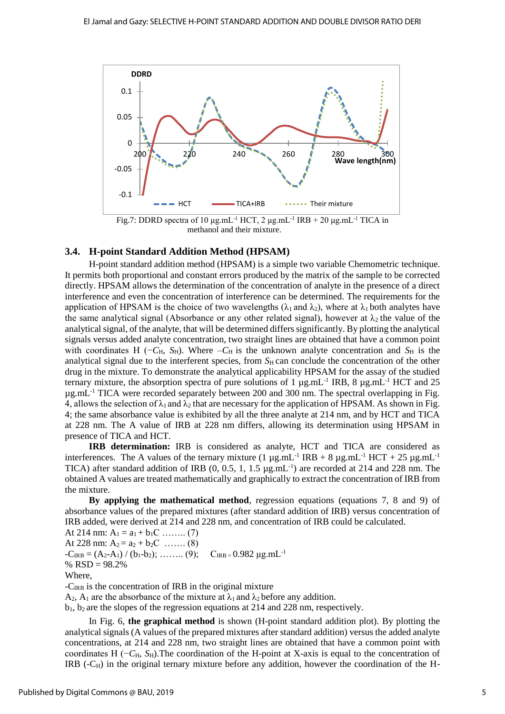

methanol and their mixture.

#### **3.4. H-point Standard Addition Method (HPSAM)**

H-point standard addition method (HPSAM) is a simple two variable Chemometric technique. It permits both proportional and constant errors produced by the matrix of the sample to be corrected directly. HPSAM allows the determination of the concentration of analyte in the presence of a direct interference and even the concentration of interference can be determined. The requirements for the application of HPSAM is the choice of two wavelengths ( $\lambda_1$  and  $\lambda_2$ ), where at  $\lambda_1$  both analytes have the same analytical signal (Absorbance or any other related signal), however at  $\lambda_2$  the value of the analytical signal, of the analyte, that will be determined differs significantly. By plotting the analytical signals versus added analyte concentration, two straight lines are obtained that have a common point with coordinates H ( $-C_H$ ,  $S_H$ ). Where  $-C_H$  is the unknown analyte concentration and  $S_H$  is the analytical signal due to the interferent species, from  $S_H$  can conclude the concentration of the other drug in the mixture. To demonstrate the analytical applicability HPSAM for the assay of the studied ternary mixture, the absorption spectra of pure solutions of 1  $\mu$ g.mL<sup>-1</sup> IRB, 8  $\mu$ g.mL<sup>-1</sup> HCT and 25 µg.mL-1 TICA were recorded separately between 200 and 300 nm. The spectral overlapping in Fig. 4, allows the selection of  $\lambda_1$  and  $\lambda_2$  that are necessary for the application of HPSAM. As shown in Fig. 4; the same absorbance value is exhibited by all the three analyte at 214 nm, and by HCT and TICA at 228 nm. The A value of IRB at 228 nm differs, allowing its determination using HPSAM in presence of TICA and HCT.

**IRB determination:** IRB is considered as analyte, HCT and TICA are considered as interferences. The A values of the ternary mixture  $(1 \mu g.mL^{-1} \text{ IRB} + 8 \mu g.mL^{-1} \text{ HCT} + 25 \mu g.mL^{-1} \text{ }^2)$ TICA) after standard addition of IRB (0, 0.5, 1, 1.5 µg.mL-1) are recorded at 214 and 228 nm. The obtained A values are treated mathematically and graphically to extract the concentration of IRB from the mixture.

**By applying the mathematical method**, regression equations (equations 7, 8 and 9) of absorbance values of the prepared mixtures (after standard addition of IRB) versus concentration of IRB added, were derived at 214 and 228 nm, and concentration of IRB could be calculated.

At 214 nm:  $A_1 = a_1 + b_1C$  ……... (7) At 228 nm:  $A_2 = a_2 + b_2C$  ……. (8)  $-C_{IRB} = (A_2-A_1) / (b_1-b_2); \dots (9); \quad C_{IRB} = 0.982 \text{ µg.mL}^{-1}$ %  $RSD = 98.2%$ Where, -CIRB is the concentration of IRB in the original mixture

 $A_2$ ,  $A_1$  are the absorbance of the mixture at  $\lambda_1$  and  $\lambda_2$  before any addition.

 $b_1$ ,  $b_2$  are the slopes of the regression equations at 214 and 228 nm, respectively.

In Fig. 6, **the graphical method** is shown (H-point standard addition plot). By plotting the analytical signals (A values of the prepared mixtures after standard addition) versus the added analyte concentrations, at 214 and 228 nm, two straight lines are obtained that have a common point with coordinates H (−*C*H, *S*H).The coordination of the H-point at X-axis is equal to the concentration of IRB  $(-C_H)$  in the original ternary mixture before any addition, however the coordination of the H-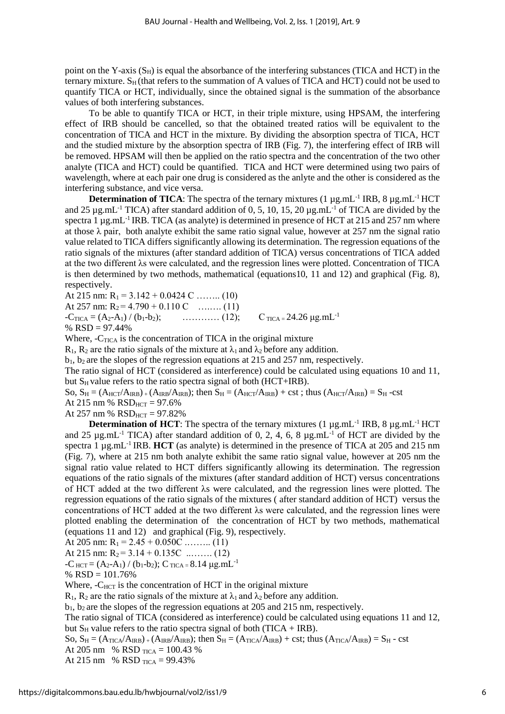point on the Y-axis  $(S_H)$  is equal the absorbance of the interfering substances (TICA and HCT) in the ternary mixture.  $S_H$  (that refers to the summation of A values of TICA and HCT) could not be used to quantify TICA or HCT, individually, since the obtained signal is the summation of the absorbance values of both interfering substances.

To be able to quantify TICA or HCT, in their triple mixture, using HPSAM, the interfering effect of IRB should be cancelled, so that the obtained treated ratios will be equivalent to the concentration of TICA and HCT in the mixture. By dividing the absorption spectra of TICA, HCT and the studied mixture by the absorption spectra of IRB (Fig. 7), the interfering effect of IRB will be removed. HPSAM will then be applied on the ratio spectra and the concentration of the two other analyte (TICA and HCT) could be quantified. TICA and HCT were determined using two pairs of wavelength, where at each pair one drug is considered as the anlyte and the other is considered as the interfering substance, and vice versa.

**Determination of TICA**: The spectra of the ternary mixtures  $(1 \mu g.mL^{-1} \text{IRB}, 8 \mu g.mL^{-1} \text{HCT})$ and 25  $\mu$ g.mL<sup>-1</sup> TICA) after standard addition of 0, 5, 10, 15, 20  $\mu$ g.mL<sup>-1</sup> of TICA are divided by the spectra 1  $\mu$ g.mL<sup>-1</sup> IRB. TICA (as analyte) is determined in presence of HCT at 215 and 257 nm where at those  $\lambda$  pair, both analyte exhibit the same ratio signal value, however at 257 nm the signal ratio value related to TICA differs significantly allowing its determination. The regression equations of the ratio signals of the mixtures (after standard addition of TICA) versus concentrations of TICA added at the two different λs were calculated, and the regression lines were plotted. Concentration of TICA is then determined by two methods, mathematical (equations10, 11 and 12) and graphical (Fig. 8), respectively.

At 215 nm:  $R_1 = 3.142 + 0.0424$  C …….. (10) At 257 nm:  $R_2 = 4.790 + 0.110 \text{ C}$  …..... (11)  $-C_{TICA} = (A_2 - A_1) / (b_1 - b_2);$  ………… (12);  $C_{TICA} = 24.26 \text{ µg.mL}^{-1}$ % RSD = 97.44%

Where,  $-C_{TICA}$  is the concentration of TICA in the original mixture

 $R_1$ ,  $R_2$  are the ratio signals of the mixture at  $\lambda_1$  and  $\lambda_2$  before any addition.

 $b_1$ ,  $b_2$  are the slopes of the regression equations at 215 and 257 nm, respectively.

The ratio signal of HCT (considered as interference) could be calculated using equations 10 and 11, but  $S_H$  value refers to the ratio spectra signal of both (HCT+IRB).

So,  $S_H = (A_{HCT}/A_{IRB}) + (A_{IRB}/A_{IRB})$ ; then  $S_H = (A_{HCT}/A_{IRB}) + \text{cst}$ ; thus  $(A_{HCT}/A_{IRB}) = S_H - \text{cst}$ 

At 215 nm %  $RSD_{HCT} = 97.6%$ 

At 257 nm %  $RSD_{HCT} = 97.82%$ 

**Determination of HCT**: The spectra of the ternary mixtures  $(1 \mu g.mL^{-1} \text{IRB}, 8 \mu g.mL^{-1} \text{HCT})$ and 25  $\mu$ g.mL<sup>-1</sup> TICA) after standard addition of 0, 2, 4, 6, 8  $\mu$ g.mL<sup>-1</sup> of HCT are divided by the spectra 1 µg.mL<sup>-1</sup> IRB. **HCT** (as analyte) is determined in the presence of TICA at 205 and 215 nm (Fig. 7), where at 215 nm both analyte exhibit the same ratio signal value, however at 205 nm the signal ratio value related to HCT differs significantly allowing its determination. The regression equations of the ratio signals of the mixtures (after standard addition of HCT) versus concentrations of HCT added at the two different λs were calculated, and the regression lines were plotted. The regression equations of the ratio signals of the mixtures ( after standard addition of HCT) versus the concentrations of HCT added at the two different λs were calculated, and the regression lines were plotted enabling the determination of the concentration of HCT by two methods, mathematical (equations 11 and 12) and graphical (Fig. 9), respectively.

At 205 nm:  $R_1 = 2.45 + 0.050C$  ......... (11)

At 215 nm:  $R_2 = 3.14 + 0.135C$  ......... (12)

 $-C$   $_{HCT} = (A_2-A_1) / (b_1-b_2)$ ;  $C$   $_{TICA} = 8.14 \mu g.mL^{-1}$ 

$$
\% RSD = 101.76\%
$$

Where,  $-C_{HCT}$  is the concentration of HCT in the original mixture

R<sub>1</sub>, R<sub>2</sub> are the ratio signals of the mixture at  $\lambda_1$  and  $\lambda_2$  before any addition.

 $b_1$ ,  $b_2$  are the slopes of the regression equations at 205 and 215 nm, respectively.

The ratio signal of TICA (considered as interference) could be calculated using equations 11 and 12, but  $S_H$  value refers to the ratio spectra signal of both (TICA + IRB).

So,  $S_H = (A_{TICA}/A_{IRB}) + (A_{IRB}/A_{IRB})$ ; then  $S_H = (A_{TICA}/A_{IRB}) + \text{cst}$ ; thus  $(A_{TICA}/A_{IRB}) = S_H - \text{cst}$ At 205 nm % RSD  $_{\text{TICA}}$  = 100.43 %

At 215 nm % RSD  $_{\text{TICA}}$  = 99.43%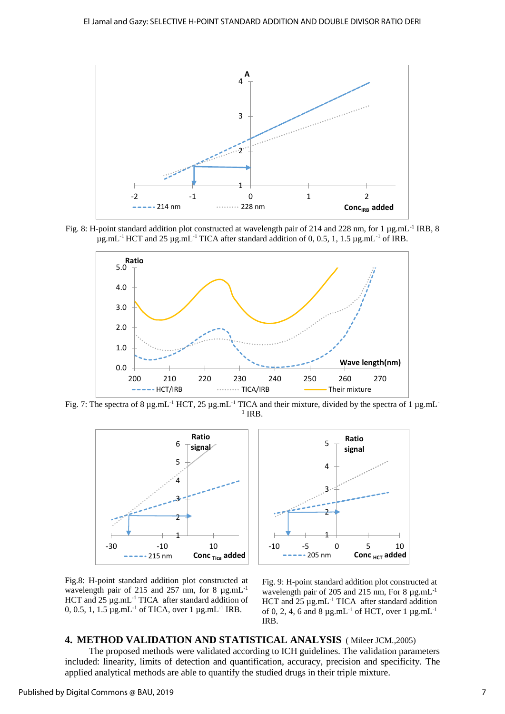

Fig. 8: H-point standard addition plot constructed at wavelength pair of 214 and 228 nm, for 1 µg.mL-1 IRB, 8  $\mu$ g.mL<sup>-1</sup> HCT and 25  $\mu$ g.mL<sup>-1</sup> TICA after standard addition of 0, 0.5, 1, 1.5  $\mu$ g.mL<sup>-1</sup> of IRB.



Fig. 7: The spectra of 8  $\mu$ g.mL<sup>-1</sup> HCT, 25  $\mu$ g.mL<sup>-1</sup> TICA and their mixture, divided by the spectra of 1  $\mu$ g.mL<sup>-1</sup>  $1$  IRB.





Fig.8: H-point standard addition plot constructed at wavelength pair of 215 and 257 nm, for 8  $\mu$ g.mL<sup>-1</sup> HCT and  $25 \mu g.mL^{-1}$  TICA after standard addition of 0, 0.5, 1, 1.5  $\mu$ g.mL<sup>-1</sup> of TICA, over 1  $\mu$ g.mL<sup>-1</sup> IRB.

Fig. 9: H-point standard addition plot constructed at wavelength pair of 205 and 215 nm, For 8  $\mu$ g.mL<sup>-1</sup> HCT and  $25 \mu$ g.mL<sup>-1</sup> TICA after standard addition of 0, 2, 4, 6 and 8  $\mu$ g.mL<sup>-1</sup> of HCT, over 1  $\mu$ g.mL<sup>-1</sup> IRB.

# **4. METHOD VALIDATION AND STATISTICAL ANALYSIS** ( Mileer JCM.,2005) The proposed methods were validated according to ICH guidelines. The validation parameters included: linearity, limits of detection and quantification, accuracy, precision and specificity. The applied analytical methods are able to quantify the studied drugs in their triple mixture.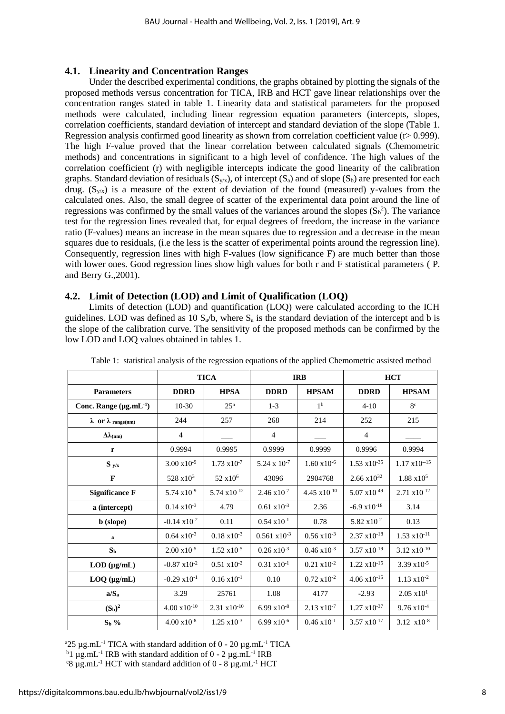#### **4.1. Linearity and Concentration Ranges**

Under the described experimental conditions, the graphs obtained by plotting the signals of the proposed methods versus concentration for TICA, IRB and HCT gave linear relationships over the concentration ranges stated in table 1. Linearity data and statistical parameters for the proposed methods were calculated, including linear regression equation parameters (intercepts, slopes, correlation coefficients, standard deviation of intercept and standard deviation of the slope (Table 1. Regression analysis confirmed good linearity as shown from correlation coefficient value (r> 0.999). The high F-value proved that the linear correlation between calculated signals (Chemometric methods) and concentrations in significant to a high level of confidence. The high values of the correlation coefficient (r) with negligible intercepts indicate the good linearity of the calibration graphs. Standard deviation of residuals  $(S_{y/x})$ , of intercept  $(S_a)$  and of slope  $(S_b)$  are presented for each drug.  $(S_{\nu/x})$  is a measure of the extent of deviation of the found (measured) y-values from the calculated ones. Also, the small degree of scatter of the experimental data point around the line of regressions was confirmed by the small values of the variances around the slopes  $(S_b^2)$ . The variance test for the regression lines revealed that, for equal degrees of freedom, the increase in the variance ratio (F-values) means an increase in the mean squares due to regression and a decrease in the mean squares due to residuals, (i.e the less is the scatter of experimental points around the regression line). Consequently, regression lines with high F-values (low significance F) are much better than those with lower ones. Good regression lines show high values for both r and F statistical parameters (P. and Berry G.,2001).

#### **4.2. Limit of Detection (LOD) and Limit of Qualification (LOQ)**

Limits of detection (LOD) and quantification (LOQ) were calculated according to the ICH guidelines. LOD was defined as 10  $S_a/b$ , where  $S_a$  is the standard deviation of the intercept and b is the slope of the calibration curve. The sensitivity of the proposed methods can be confirmed by the low LOD and LOQ values obtained in tables 1.

|                                  | <b>TICA</b>            |                        | <b>IRB</b>             |                        | <b>HCT</b>             |                        |
|----------------------------------|------------------------|------------------------|------------------------|------------------------|------------------------|------------------------|
| <b>Parameters</b>                | <b>DDRD</b>            | <b>HPSA</b>            | <b>DDRD</b>            | <b>HPSAM</b>           | <b>DDRD</b>            | <b>HPSAM</b>           |
| Conc. Range $(\mu g.mL^{-1})$    | $10-30$                | 25 <sup>a</sup>        | $1-3$                  | 1 <sup>b</sup>         | $4 - 10$               | 8 <sup>c</sup>         |
| $\lambda$ or $\lambda$ range(nm) | 244                    | 257                    | 268                    | 214                    | 252                    | 215                    |
| $\Delta\lambda$ (nm)             | $\overline{4}$         |                        | 4                      |                        | $\overline{4}$         |                        |
| r                                | 0.9994                 | 0.9995                 | 0.9999                 | 0.9999                 | 0.9996                 | 0.9994                 |
| $S_{y/x}$                        | $3.00 \times 10^{-9}$  | $1.73 \times 10^{-7}$  | $5.24 \times 10^{-7}$  | $1.60 \times 10^{-6}$  | $1.53 \times 10^{-35}$ | $1.17 \times 10^{-15}$ |
| $\mathbf{F}$                     | $528 \times 10^3$      | 52 x10 <sup>6</sup>    | 43096                  | 2904768                | $2.66 \times 10^{32}$  | $1.88 \times 10^5$     |
| <b>Significance F</b>            | $5.74 \times 10^{-9}$  | $5.74 \times 10^{-12}$ | $2.46 \times 10^{-7}$  | $4.45 \times 10^{-10}$ | $5.07 \times 10^{-49}$ | $2.71 \times 10^{-12}$ |
| a (intercept)                    | $0.14 \times 10^{-3}$  | 4.79                   | $0.61 \times 10^{-3}$  | 2.36                   | $-6.9 \times 10^{-18}$ | 3.14                   |
| <b>b</b> (slope)                 | $-0.14 \times 10^{-2}$ | 0.11                   | $0.54 \times 10^{-1}$  | 0.78                   | $5.82 \times 10^{-2}$  | 0.13                   |
| a                                | $0.64 \times 10^{-3}$  | $0.18 \times 10^{-3}$  | $0.561 \times 10^{-3}$ | $0.56 \times 10^{-3}$  | $2.37 \times 10^{-18}$ | $1.53 \times 10^{-11}$ |
| S <sub>b</sub>                   | $2.00 \times 10^{-5}$  | $1.52 \times 10^{-5}$  | $0.26 \times 10^{-3}$  | $0.46 \times 10^{-3}$  | $3.57 \times 10^{-19}$ | $3.12 \times 10^{-10}$ |
| $LOD$ ( $\mu$ g/mL)              | $-0.87 \times 10^{-2}$ | $0.51 \times 10^{-2}$  | $0.31 \times 10^{-1}$  | $0.21 \times 10^{-2}$  | $1.22 \times 10^{-15}$ | $3.39 \times 10^{-5}$  |
| $LOQ$ ( $\mu$ g/mL)              | $-0.29 \times 10^{-1}$ | $0.16 \times 10^{-1}$  | 0.10                   | $0.72 \times 10^{-2}$  | $4.06 \times 10^{-15}$ | $1.13 \times 10^{-2}$  |
| $a/S_a$                          | 3.29                   | 25761                  | 1.08                   | 4177                   | $-2.93$                | $2.05 \times 10^{1}$   |
| $(S_b)^2$                        | $4.00 \times 10^{-10}$ | $2.31 \times 10^{-10}$ | $6.99 \times 10^{-8}$  | $2.13 \times 10^{-7}$  | $1.27 \times 10^{-37}$ | $9.76 \times 10^{-4}$  |
| $S_b$ %                          | $4.00 \times 10^{-8}$  | $1.25 \times 10^{-3}$  | $6.99 \times 10^{-6}$  | $0.46 \times 10^{-1}$  | $3.57 \times 10^{-17}$ | 3.12 $x10^{-8}$        |

Table 1: statistical analysis of the regression equations of the applied Chemometric assisted method

 $a25 \mu$ g.mL<sup>-1</sup> TICA with standard addition of 0 - 20  $\mu$ g.mL<sup>-1</sup> TICA  $b_1 \mu$ g.mL<sup>-1</sup> IRB with standard addition of 0 - 2  $\mu$ g.mL<sup>-1</sup> IRB

 $\rm ^{c}8 \mu$ g.mL<sup>-1</sup> HCT with standard addition of 0 - 8  $\mu$ g.mL<sup>-1</sup> HCT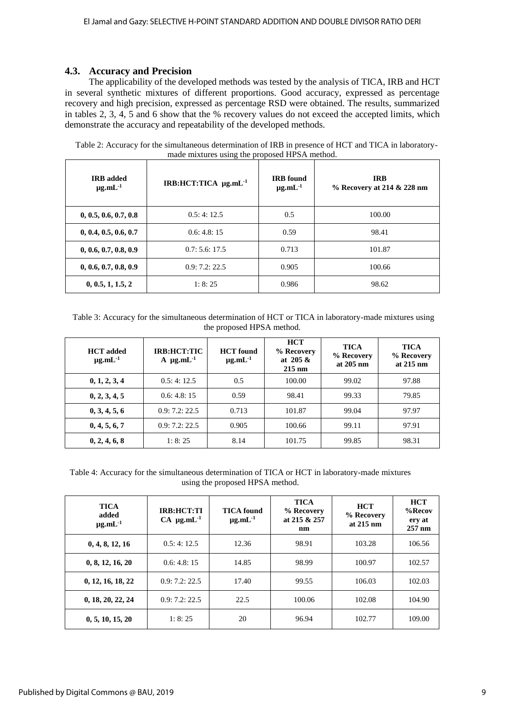# **4.3. Accuracy and Precision**

The applicability of the developed methods was tested by the analysis of TICA, IRB and HCT in several synthetic mixtures of different proportions. Good accuracy, expressed as percentage recovery and high precision, expressed as percentage RSD were obtained. The results, summarized in tables 2, 3, 4, 5 and 6 show that the % recovery values do not exceed the accepted limits, which demonstrate the accuracy and repeatability of the developed methods.

| <b>IRB</b> added<br>$\mu$ g.mL $^{-1}$ | IRB:HCT:TICA µg.mL <sup>-1</sup> | <b>IRB</b> found<br>$\mu$ g.mL $^{-1}$ | <b>IRB</b><br>% Recovery at 214 & 228 nm |
|----------------------------------------|----------------------------------|----------------------------------------|------------------------------------------|
| 0, 0.5, 0.6, 0.7, 0.8                  | 0.5:4:12.5                       | 0.5                                    | 100.00                                   |
| 0, 0.4, 0.5, 0.6, 0.7                  | 0.6:4.8:15                       | 0.59                                   | 98.41                                    |
| 0, 0.6, 0.7, 0.8, 0.9                  | 0.7:5.6:17.5                     | 0.713                                  | 101.87                                   |
| 0, 0.6, 0.7, 0.8, 0.9                  | 0.9:7.2:22.5                     | 0.905                                  | 100.66                                   |
| 0, 0.5, 1, 1.5, 2                      | 1: 8: 25                         | 0.986                                  | 98.62                                    |

 Table 2: Accuracy for the simultaneous determination of IRB in presence of HCT and TICA in laboratorymade mixtures using the proposed HPSA method.

 Table 3: Accuracy for the simultaneous determination of HCT or TICA in laboratory-made mixtures using the proposed HPSA method.

| <b>HCT</b> added<br>$\mu$ g.mL $^{-1}$ | IRB:HCT:TIC<br>$A \mu g.mL^{-1}$ | <b>HCT</b> found<br>$\mu$ g.mL $^{-1}$ | <b>HCT</b><br>% Recovery<br>at $205 \&$<br>$215 \text{ nm}$ | <b>TICA</b><br>% Recovery<br>at $205 \text{ nm}$ | <b>TICA</b><br>% Recovery<br>at $215 \text{ nm}$ |
|----------------------------------------|----------------------------------|----------------------------------------|-------------------------------------------------------------|--------------------------------------------------|--------------------------------------------------|
| 0, 1, 2, 3, 4                          | 0.5:4:12.5                       | 0.5                                    | 100.00                                                      | 99.02                                            | 97.88                                            |
| 0, 2, 3, 4, 5                          | 0.6: 4.8: 15                     | 0.59                                   | 98.41                                                       | 99.33                                            | 79.85                                            |
| 0, 3, 4, 5, 6                          | 0.9:7.2:22.5                     | 0.713                                  | 101.87                                                      | 99.04                                            | 97.97                                            |
| 0, 4, 5, 6, 7                          | 0.9:7.2:22.5                     | 0.905                                  | 100.66                                                      | 99.11                                            | 97.91                                            |
| 0, 2, 4, 6, 8                          | 1:8:25                           | 8.14                                   | 101.75                                                      | 99.85                                            | 98.31                                            |

Table 4: Accuracy for the simultaneous determination of TICA or HCT in laboratory-made mixtures using the proposed HPSA method.

| <b>TICA</b><br>added<br>$\mu$ g.mL $^{-1}$ | <b>IRB:HCT:TI</b><br>$CA \mu g.mL^{-1}$ | <b>TICA</b> found<br>$\mu$ g.mL $^{-1}$ | <b>TICA</b><br>% Recovery<br>at 215 & 257<br>nm | <b>HCT</b><br>% Recovery<br>at $215 \text{ nm}$ | <b>HCT</b><br>$%$ Recov<br>ery at<br>257 nm |
|--------------------------------------------|-----------------------------------------|-----------------------------------------|-------------------------------------------------|-------------------------------------------------|---------------------------------------------|
| 0, 4, 8, 12, 16                            | 0.5:4:12.5                              | 12.36                                   | 98.91                                           | 103.28                                          | 106.56                                      |
| 0, 8, 12, 16, 20                           | 0.6: 4.8: 15                            | 14.85                                   | 98.99                                           | 100.97                                          | 102.57                                      |
| 0, 12, 16, 18, 22                          | 0.9:7.2:22.5                            | 17.40                                   | 99.55                                           | 106.03                                          | 102.03                                      |
| 0, 18, 20, 22, 24                          | 0.9:7.2:22.5                            | 22.5                                    | 100.06                                          | 102.08                                          | 104.90                                      |
| 0, 5, 10, 15, 20                           | 1:8:25                                  | 20                                      | 96.94                                           | 102.77                                          | 109.00                                      |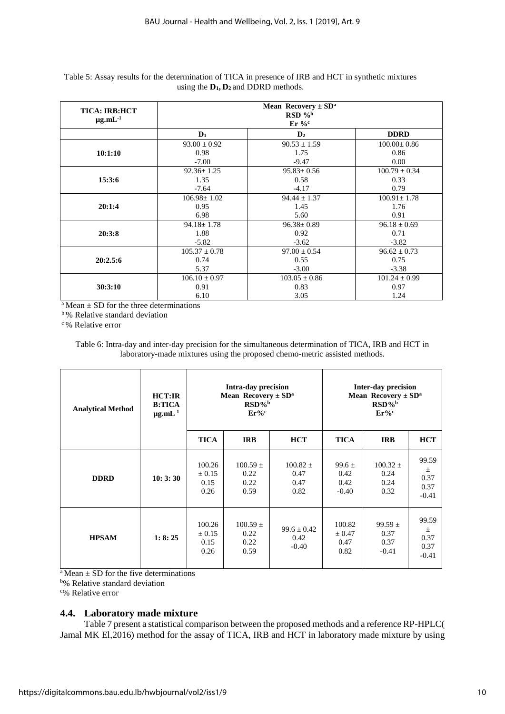| <b>TICA: IRB:HCT</b><br>$\mu$ g.mL $^{-1}$ | <b>Mean Recovery</b> $\pm$ SD <sup>a</sup><br>$RSD\%b$<br>$Er\%^c$ |                   |                   |  |  |
|--------------------------------------------|--------------------------------------------------------------------|-------------------|-------------------|--|--|
|                                            | $D_1$                                                              | $\mathbf{D}_2$    | <b>DDRD</b>       |  |  |
|                                            | $93.00 \pm 0.92$                                                   | $90.53 \pm 1.59$  | $100.00 \pm 0.86$ |  |  |
| 10:1:10                                    | 0.98                                                               | 1.75              | 0.86              |  |  |
|                                            | $-7.00$                                                            | $-9.47$           | 0.00              |  |  |
|                                            | $92.36 \pm 1.25$                                                   | $95.83 \pm 0.56$  | $100.79 \pm 0.34$ |  |  |
| 15:3:6                                     | 1.35                                                               | 0.58              | 0.33              |  |  |
|                                            | $-7.64$                                                            | $-4.17$           | 0.79              |  |  |
|                                            | $106.98 \pm 1.02$                                                  | $94.44 \pm 1.37$  | $100.91 \pm 1.78$ |  |  |
| 20:1:4                                     | 0.95                                                               | 1.45              | 1.76              |  |  |
|                                            | 6.98                                                               | 5.60              | 0.91              |  |  |
|                                            | $94.18 \pm 1.78$                                                   | $96.38 \pm 0.89$  | $96.18 \pm 0.69$  |  |  |
| 20:3:8                                     | 1.88                                                               | 0.92              | 0.71              |  |  |
|                                            | $-5.82$                                                            | $-3.62$           | $-3.82$           |  |  |
|                                            | $105.37 \pm 0.78$                                                  | $97.00 \pm 0.54$  | $96.62 \pm 0.73$  |  |  |
| 20:2.5:6                                   | 0.74                                                               | 0.55              | 0.75              |  |  |
|                                            | 5.37                                                               | $-3.00$           | $-3.38$           |  |  |
|                                            | $106.10 \pm 0.97$                                                  | $103.05 \pm 0.86$ | $101.24 \pm 0.99$ |  |  |
| 30:3:10                                    | 0.91                                                               | 0.83              | 0.97              |  |  |
|                                            | 6.10                                                               | 3.05              | 1.24              |  |  |

#### Table 5: Assay results for the determination of TICA in presence of IRB and HCT in synthetic mixtures using the **D1, D2** and DDRD methods.

 $a$  Mean  $\pm$  SD for the three determinations

**b**% Relative standard deviation

<sup>c</sup>% Relative error

Table 6: Intra-day and inter-day precision for the simultaneous determination of TICA, IRB and HCT in laboratory-made mixtures using the proposed chemo-metric assisted methods.

| <b>Analytical Method</b> | HCT:IR<br><b>B:TICA</b><br>$\mu$ g.mL $^{-1}$ | Intra-day precision<br><b>Mean Recovery</b> $\pm$ SD <sup>a</sup><br>$RSD\%$ <sup>b</sup><br>$Er%^c$ |                                      |                                      | <b>Inter-day precision</b><br><b>Mean Recovery</b> $\pm$ SD <sup>a</sup><br>$RSD\%$<br>$Er%^c$ |                                        |                                           |
|--------------------------|-----------------------------------------------|------------------------------------------------------------------------------------------------------|--------------------------------------|--------------------------------------|------------------------------------------------------------------------------------------------|----------------------------------------|-------------------------------------------|
|                          |                                               | <b>TICA</b>                                                                                          | <b>IRB</b>                           | <b>HCT</b>                           | <b>TICA</b>                                                                                    | <b>IRB</b>                             | <b>HCT</b>                                |
| <b>DDRD</b>              | 10:3:30                                       | 100.26<br>$\pm 0.15$<br>0.15<br>0.26                                                                 | $100.59 \pm$<br>0.22<br>0.22<br>0.59 | $100.82 \pm$<br>0.47<br>0.47<br>0.82 | $99.6 \pm$<br>0.42<br>0.42<br>$-0.40$                                                          | $100.32 \pm$<br>0.24<br>0.24<br>0.32   | 99.59<br>$\pm$<br>0.37<br>0.37<br>$-0.41$ |
| <b>HPSAM</b>             | 1: 8: 25                                      | 100.26<br>$\pm 0.15$<br>0.15<br>0.26                                                                 | $100.59 \pm$<br>0.22<br>0.22<br>0.59 | $99.6 \pm 0.42$<br>0.42<br>$-0.40$   | 100.82<br>± 0.47<br>0.47<br>0.82                                                               | $99.59 \pm$<br>0.37<br>0.37<br>$-0.41$ | 99.59<br>$\pm$<br>0.37<br>0.37<br>$-0.41$ |

 $a$  Mean  $\pm$  SD for the five determinations

<sup>b</sup>% Relative standard deviation

<sup>c</sup>% Relative error

# **4.4. Laboratory made mixture**

Table 7 present a statistical comparison between the proposed methods and a reference RP-HPLC( Jamal MK El,2016) method for the assay of TICA, IRB and HCT in laboratory made mixture by using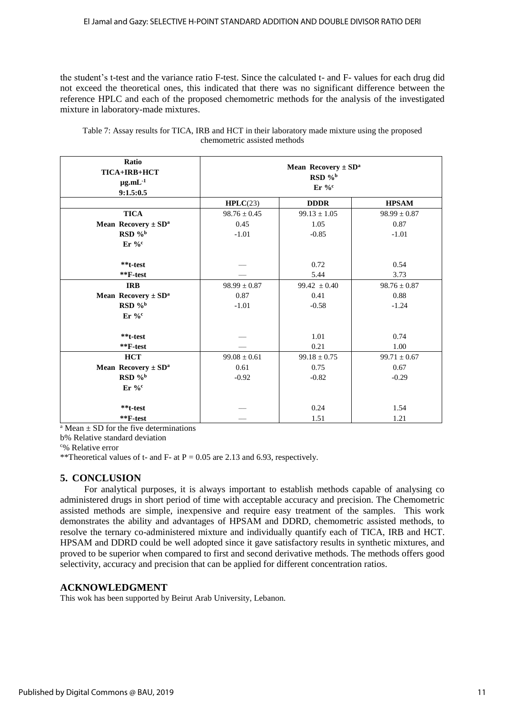the student's t-test and the variance ratio F-test. Since the calculated t- and F- values for each drug did not exceed the theoretical ones, this indicated that there was no significant difference between the reference HPLC and each of the proposed chemometric methods for the analysis of the investigated mixture in laboratory-made mixtures.

| Ratio<br>TICA+IRB+HCT<br>$\mu$ g.mL $^{-1}$<br>9:1.5:0.5 | <b>Mean Recovery</b> $\pm$ SD <sup>a</sup><br>$RSD$ % <sup>b</sup><br>$Er\%^c$ |                  |                  |  |  |  |
|----------------------------------------------------------|--------------------------------------------------------------------------------|------------------|------------------|--|--|--|
|                                                          | HPLC(23)<br><b>DDDR</b><br><b>HPSAM</b>                                        |                  |                  |  |  |  |
| <b>TICA</b>                                              | $98.76 \pm 0.45$                                                               | $99.13 \pm 1.05$ | $98.99 \pm 0.87$ |  |  |  |
| <b>Mean Recovery</b> $\pm$ SD <sup>a</sup>               | 0.45                                                                           | 1.05             | 0.87             |  |  |  |
| RSD % <sup>b</sup>                                       | $-1.01$                                                                        | $-0.85$          | $-1.01$          |  |  |  |
| $Er\%^c$                                                 |                                                                                |                  |                  |  |  |  |
|                                                          |                                                                                |                  |                  |  |  |  |
| **t-test                                                 |                                                                                | 0.72             | 0.54             |  |  |  |
| $*$ $F-test$                                             |                                                                                | 5.44             | 3.73             |  |  |  |
| <b>IRB</b>                                               | $98.99 \pm 0.87$                                                               | $99.42 \pm 0.40$ | $98.76 \pm 0.87$ |  |  |  |
| <b>Mean Recovery</b> $\pm$ SD <sup>a</sup>               | 0.87                                                                           | 0.41             | 0.88             |  |  |  |
| $RSD$ %                                                  | $-1.01$                                                                        | $-0.58$          | $-1.24$          |  |  |  |
| $Er\%^c$                                                 |                                                                                |                  |                  |  |  |  |
|                                                          |                                                                                |                  |                  |  |  |  |
| **t-test                                                 |                                                                                | 1.01             | 0.74             |  |  |  |
| $*$ $F$ -test                                            |                                                                                | 0.21             | 1.00             |  |  |  |
| <b>HCT</b>                                               | $99.08 \pm 0.61$                                                               | $99.18 \pm 0.75$ | $99.71 \pm 0.67$ |  |  |  |
| <b>Mean Recovery</b> $\pm$ SD <sup>a</sup>               | 0.61                                                                           | 0.75             | 0.67             |  |  |  |
| RSD % <sup>b</sup>                                       | $-0.92$                                                                        | $-0.82$          | $-0.29$          |  |  |  |
| $Er\%^c$                                                 |                                                                                |                  |                  |  |  |  |
|                                                          |                                                                                |                  |                  |  |  |  |
| **t-test                                                 |                                                                                | 0.24             | 1.54             |  |  |  |
| $*F-test$                                                |                                                                                | 1.51             | 1.21             |  |  |  |

Table 7: Assay results for TICA, IRB and HCT in their laboratory made mixture using the proposed chemometric assisted methods

 $A<sup>a</sup>$  Mean  $\pm$  SD for the five determinations

b% Relative standard deviation

<sup>c</sup>% Relative error

\*\*Theoretical values of t- and F- at  $P = 0.05$  are 2.13 and 6.93, respectively.

# **5. CONCLUSION**

For analytical purposes, it is always important to establish methods capable of analysing co administered drugs in short period of time with acceptable accuracy and precision. The Chemometric assisted methods are simple, inexpensive and require easy treatment of the samples. This work demonstrates the ability and advantages of HPSAM and DDRD, chemometric assisted methods, to resolve the ternary co-administered mixture and individually quantify each of TICA, IRB and HCT. HPSAM and DDRD could be well adopted since it gave satisfactory results in synthetic mixtures, and proved to be superior when compared to first and second derivative methods. The methods offers good selectivity, accuracy and precision that can be applied for different concentration ratios.

#### **ACKNOWLEDGMENT**

This wok has been supported by Beirut Arab University, Lebanon.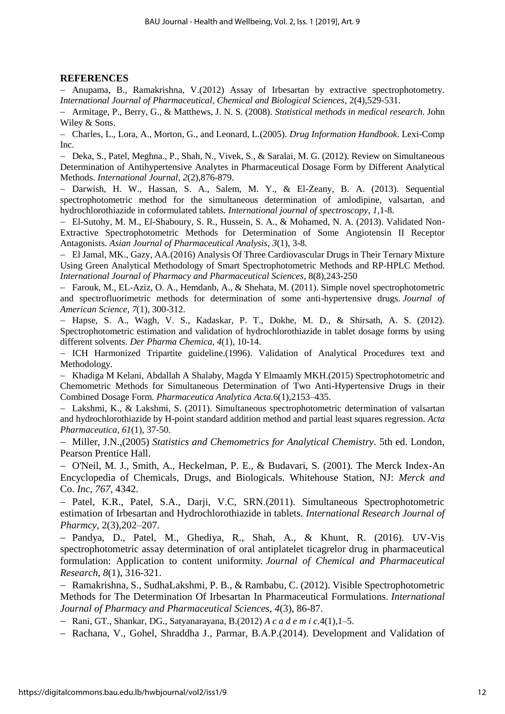# **REFERENCES**

 Anupama, B., Ramakrishna, V.(2012) Assay of Irbesartan by extractive spectrophotometry. *International Journal of Pharmaceutical, Chemical and Biological Sciences*, 2(4),529-531.

 Armitage, P., Berry, G., & Matthews, J. N. S. (2008). *Statistical methods in medical research*. John Wiley & Sons.

 Charles, L., Lora, A., Morton, G., and Leonard, L.(2005). *Drug Information Handbook*. Lexi-Comp Inc.

- Deka, S., Patel, Meghna., P., Shah, N., Vivek, S., & Saralai, M. G. (2012). Review on Simultaneous Determination of Antihypertensive Analytes in Pharmaceutical Dosage Form by Different Analytical Methods. *International Journal*, *2*(2),876-879.

 Darwish, H. W., Hassan, S. A., Salem, M. Y., & El-Zeany, B. A. (2013). Sequential spectrophotometric method for the simultaneous determination of amlodipine, valsartan, and hydrochlorothiazide in coformulated tablets. *International journal of spectroscopy*, *1,*1-8.

 El-Sutohy, M. M., El-Shaboury, S. R., Hussein, S. A., & Mohamed, N. A. (2013). Validated Non-Extractive Spectrophotometric Methods for Determination of Some Angiotensin II Receptor Antagonists. *Asian Journal of Pharmaceutical Analysis*, *3*(1), 3-8.

 El Jamal, MK., Gazy, AA.(2016) Analysis Of Three Cardiovascular Drugs in Their Ternary Mixture Using Green Analytical Methodology of Smart Spectrophotometric Methods and RP-HPLC Method. *International Journal of Pharmacy and Pharmaceutical Sciences*, 8(8),243-250

 Farouk, M., EL-Aziz, O. A., Hemdanb, A., & Shehata, M. (2011). Simple novel spectrophotometric and spectrofluorimetric methods for determination of some anti-hypertensive drugs. *Journal of American Science, 7*(1), 300-312.

 Hapse, S. A., Wagh, V. S., Kadaskar, P. T., Dokhe, M. D., & Shirsath, A. S. (2012). Spectrophotometric estimation and validation of hydrochlorothiazide in tablet dosage forms by using different solvents. *Der Pharma Chemica*, *4*(1), 10-14.

- ICH Harmonized Tripartite guideline.(1996). Validation of Analytical Procedures text and Methodology.

- Khadiga M Kelani, Abdallah A Shalaby, Magda Y Elmaamly MKH.(2015) Spectrophotometric and Chemometric Methods for Simultaneous Determination of Two Anti-Hypertensive Drugs in their Combined Dosage Form. *Pharmaceutica Analytica Acta.*6(1),2153–435.

 Lakshmi, K., & Lakshmi, S. (2011). Simultaneous spectrophotometric determination of valsartan and hydrochlorothiazide by H-point standard addition method and partial least squares regression. *Acta Pharmaceutica*, *61*(1), 37-50.

 Miller, J.N.,(2005) *Statistics and Chemometrics for Analytical Chemistry*. 5th ed. London, Pearson Prentice Hall.

 O'Neil, M. J., Smith, A., Heckelman, P. E., & Budavari, S. (2001). The Merck Index-An Encyclopedia of Chemicals, Drugs, and Biologicals. Whitehouse Station, NJ: *Merck and*  Co. *Inc*, *767*, 4342.

- Patel, K.R., Patel, S.A., Darji, V.C, SRN.(2011). Simultaneous Spectrophotometric estimation of Irbesartan and Hydrochlorothiazide in tablets. *International Research Journal of Pharmcy*, 2(3),202–207.

 Pandya, D., Patel, M., Ghediya, R., Shah, A., & Khunt, R. (2016). UV-Vis spectrophotometric assay determination of oral antiplatelet ticagrelor drug in pharmaceutical formulation: Application to content uniformity. *Journal of Chemical and Pharmaceutical Research*, *8*(1), 316-321.

 Ramakrishna, S., SudhaLakshmi, P. B., & Rambabu, C. (2012). Visible Spectrophotometric Methods for The Determination Of Irbesartan In Pharmaceutical Formulations. *International Journal of Pharmacy and Pharmaceutical Sciences*, *4*(3), 86-87.

Rani, GT., Shankar, DG., Satyanarayana, B.(2012) *A c a d e m i c*.4(1),1–5.

- Rachana, V., Gohel, Shraddha J., Parmar, B.A.P.(2014). Development and Validation of